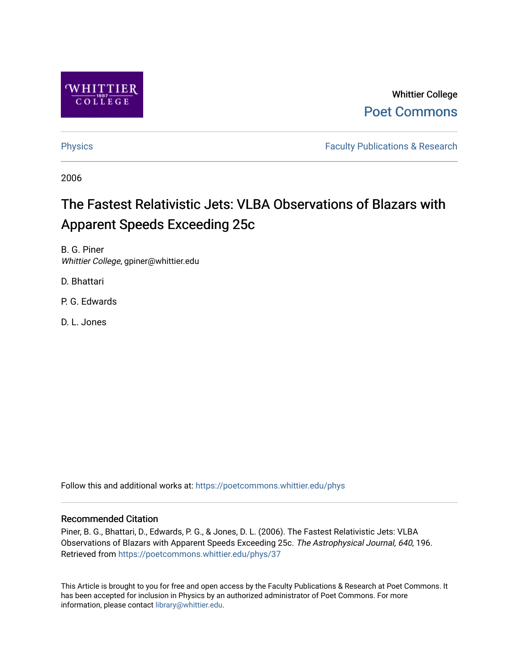

Whittier College [Poet Commons](https://poetcommons.whittier.edu/) 

[Physics](https://poetcommons.whittier.edu/phys) **Faculty Publications & Research Physics Faculty Publications & Research** 

2006

# The Fastest Relativistic Jets: VLBA Observations of Blazars with Apparent Speeds Exceeding 25c

B. G. Piner Whittier College, gpiner@whittier.edu

D. Bhattari

P. G. Edwards

D. L. Jones

Follow this and additional works at: [https://poetcommons.whittier.edu/phys](https://poetcommons.whittier.edu/phys?utm_source=poetcommons.whittier.edu%2Fphys%2F37&utm_medium=PDF&utm_campaign=PDFCoverPages)

## Recommended Citation

Piner, B. G., Bhattari, D., Edwards, P. G., & Jones, D. L. (2006). The Fastest Relativistic Jets: VLBA Observations of Blazars with Apparent Speeds Exceeding 25c. The Astrophysical Journal, 640, 196. Retrieved from [https://poetcommons.whittier.edu/phys/37](https://poetcommons.whittier.edu/phys/37?utm_source=poetcommons.whittier.edu%2Fphys%2F37&utm_medium=PDF&utm_campaign=PDFCoverPages)

This Article is brought to you for free and open access by the Faculty Publications & Research at Poet Commons. It has been accepted for inclusion in Physics by an authorized administrator of Poet Commons. For more information, please contact [library@whittier.edu.](mailto:library@whittier.edu)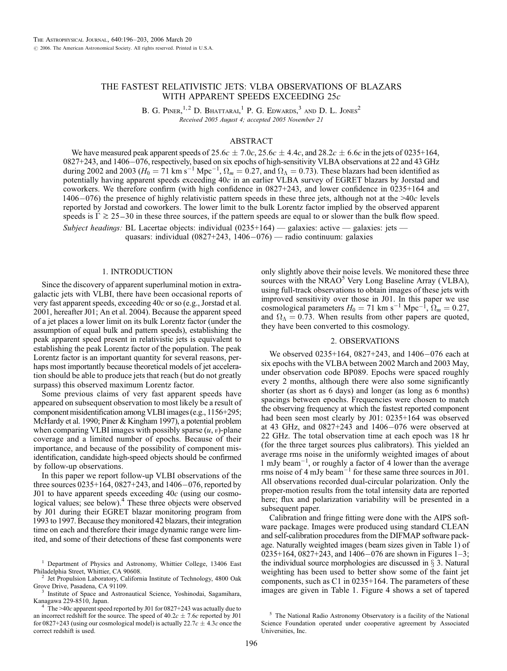### THE FASTEST RELATIVISTIC JETS: VLBA OBSERVATIONS OF BLAZARS WITH APPARENT SPEEDS EXCEEDING 25c

B. G. PINER,<sup>1,2</sup> D. BHATTARAI,<sup>1</sup> P. G. EDWARDS,<sup>3</sup> AND D. L. JONES<sup>2</sup> Received 2005 August 4; accepted 2005 November 21

#### ABSTRACT

We have measured peak apparent speeds of 25.6c  $\pm$  7.0c, 25.6c  $\pm$  4.4c, and 28.2c  $\pm$  6.6c in the jets of 0235+164, 0827+243, and 1406-076, respectively, based on six epochs of high-sensitivity VLBA observations at 22 and 43 GHz during 2002 and 2003 ( $H_0 = 71$  km s<sup>-1</sup> Mpc<sup>-1</sup>,  $\Omega_m = 0.27$ , and  $\Omega_\Lambda = 0.73$ ). These blazars had been identified as potentially having apparent speeds exceeding 40c in an earlier VLBA survey of EGRET blazars by Jorstad and coworkers. We therefore confirm (with high confidence in 0827+243, and lower confidence in 0235+164 and 1406–076) the presence of highly relativistic pattern speeds in these three jets, although not at the >40c levels reported by Jorstad and coworkers. The lower limit to the bulk Lorentz factor implied by the observed apparent speeds is  $\Gamma \gtrsim 25-30$  in these three sources, if the pattern speeds are equal to or slower than the bulk flow speed. Subject headings: BL Lacertae objects: individual (0235+164) — galaxies: active — galaxies: jets quasars: individual (0827+243, 1406-076) — radio continuum: galaxies

#### 1. INTRODUCTION

Since the discovery of apparent superluminal motion in extragalactic jets with VLBI, there have been occasional reports of very fast apparent speeds, exceeding 40c or so (e.g., Jorstad et al. 2001, hereafter J01; An et al. 2004). Because the apparent speed of a jet places a lower limit on its bulk Lorentz factor (under the assumption of equal bulk and pattern speeds), establishing the peak apparent speed present in relativistic jets is equivalent to establishing the peak Lorentz factor of the population. The peak Lorentz factor is an important quantity for several reasons, perhaps most importantly because theoretical models of jet acceleration should be able to produce jets that reach (but do not greatly surpass) this observed maximum Lorentz factor.

Some previous claims of very fast apparent speeds have appeared on subsequent observation to most likely be a result of component misidentification among VLBI images (e.g., 1156+295; McHardy et al. 1990; Piner & Kingham 1997), a potential problem when comparing VLBI images with possibly sparse  $(u, v)$ -plane coverage and a limited number of epochs. Because of their importance, and because of the possibility of component misidentification, candidate high-speed objects should be confirmed by follow-up observations.

In this paper we report follow-up VLBI observations of the three sources 0235+164, 0827+243, and 1406-076, reported by J01 to have apparent speeds exceeding  $40c$  (using our cosmological values; see below).<sup>4</sup> These three objects were observed by J01 during their EGRET blazar monitoring program from 1993 to 1997. Because they monitored 42 blazars, their integration time on each and therefore their image dynamic range were limited, and some of their detections of these fast components were

Philadelphia Street, Whittier, CA 90608.<br><sup>2</sup> Jet Propulsion Laboratory, California Institute of Technology, 4800 Oak Grove Drive, Pasadena, CA 91109.

only slightly above their noise levels. We monitored these three sources with the NRAO<sup>5</sup> Very Long Baseline Array (VLBA), using full-track observations to obtain images of these jets with improved sensitivity over those in J01. In this paper we use cosmological parameters  $H_0 = 71$  km s<sup>-1</sup> Mpc<sup>-1</sup>,  $\Omega_m = 0.27$ , and  $\Omega_{\Lambda} = 0.73$ . When results from other papers are quoted, they have been converted to this cosmology.

#### 2. OBSERVATIONS

We observed 0235+164, 0827+243, and 1406-076 each at six epochs with the VLBA between 2002 March and 2003 May, under observation code BP089. Epochs were spaced roughly every 2 months, although there were also some significantly shorter (as short as 6 days) and longer (as long as 6 months) spacings between epochs. Frequencies were chosen to match the observing frequency at which the fastest reported component had been seen most clearly by J01: 0235+164 was observed at 43 GHz, and 0827+243 and 1406-076 were observed at 22 GHz. The total observation time at each epoch was 18 hr (for the three target sources plus calibrators). This yielded an average rms noise in the uniformly weighted images of about 1 mJy beam-1 , or roughly a factor of 4 lower than the average rms noise of  $4 \text{ mJy beam}^{-1}$  for these same three sources in J01. All observations recorded dual-circular polarization. Only the proper-motion results from the total intensity data are reported here; flux and polarization variability will be presented in a subsequent paper.

Calibration and fringe fitting were done with the AIPS software package. Images were produced using standard CLEAN and self-calibration procedures from the DIFMAP software package. Naturally weighted images (beam sizes given in Table 1) of 0235+164, 0827+243, and 1406-076 are shown in Figures 1–3; the individual source morphologies are discussed in  $\S$  3. Natural weighting has been used to better show some of the faint jet components, such as C1 in 0235+164. The parameters of these images are given in Table 1. Figure 4 shows a set of tapered

<sup>&</sup>lt;sup>1</sup> Department of Physics and Astronomy, Whittier College, 13406 East

<sup>&</sup>lt;sup>3</sup> Institute of Space and Astronautical Science, Yoshinodai, Sagamihara, Kanagawa 229-8510, Japan.

The >40c apparent speed reported by J01 for 0827+243 was actually due to an incorrect redshift for the source. The speed of  $40.2c \pm 7.6c$  reported by J01 for 0827+243 (using our cosmological model) is actually 22.7 $c \pm 4.3c$  once the correct redshift is used.

<sup>5</sup> The National Radio Astronomy Observatory is a facility of the National Science Foundation operated under cooperative agreement by Associated Universities, Inc.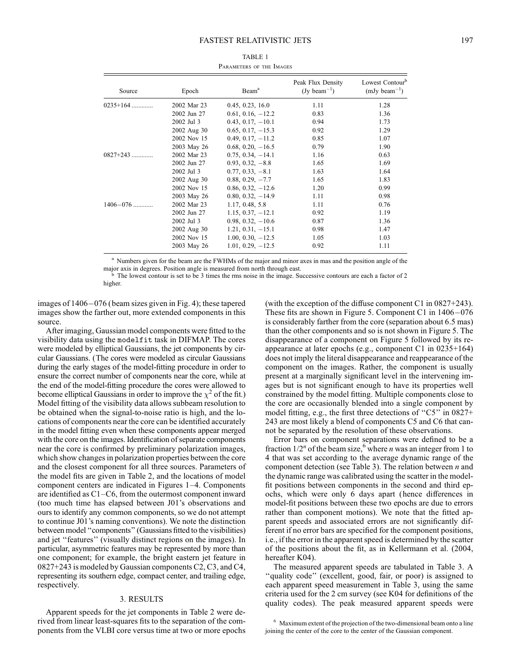#### FASTEST RELATIVISTIC JETS 197

| Source       | Epoch       | Beam <sup>a</sup>   | Peak Flux Density<br>$(Jy beam^{-1})$ | Lowest Contour <sup>b</sup><br>$(mJy beam^{-1})$ |
|--------------|-------------|---------------------|---------------------------------------|--------------------------------------------------|
| $0235+164$   | 2002 Mar 23 | 0.45, 0.23, 16.0    | 1.11                                  | 1.28                                             |
|              | 2002 Jun 27 | $0.61, 0.16, -12.2$ | 0.83                                  | 1.36                                             |
|              | 2002 Jul 3  | $0.43, 0.17, -10.1$ | 0.94                                  | 1.73                                             |
|              | 2002 Aug 30 | $0.65, 0.17, -15.3$ | 0.92                                  | 1.29                                             |
|              | 2002 Nov 15 | $0.49, 0.17, -11.2$ | 0.85                                  | 1.07                                             |
|              | 2003 May 26 | $0.68, 0.20, -16.5$ | 0.79                                  | 1.90                                             |
| 0827+243     | 2002 Mar 23 | $0.75, 0.34, -14.1$ | 1.16                                  | 0.63                                             |
|              | 2002 Jun 27 | $0.93, 0.32, -8.8$  | 1.65                                  | 1.69                                             |
|              | 2002 Jul 3  | $0.77, 0.33, -8.1$  | 1.63                                  | 1.64                                             |
|              | 2002 Aug 30 | $0.88, 0.29, -7.7$  | 1.65                                  | 1.83                                             |
|              | 2002 Nov 15 | $0.86, 0.32, -12.6$ | 1.20                                  | 0.99                                             |
|              | 2003 May 26 | $0.80, 0.32, -14.9$ | 1.11                                  | 0.98                                             |
| $1406 - 076$ | 2002 Mar 23 | 1.17, 0.48, 5.8     | 1.11                                  | 0.76                                             |
|              | 2002 Jun 27 | $1.15, 0.37, -12.1$ | 0.92                                  | 1.19                                             |
|              | 2002 Jul 3  | $0.98, 0.32, -10.6$ | 0.87                                  | 1.36                                             |
|              | 2002 Aug 30 | $1.21, 0.31, -15.1$ | 0.98                                  | 1.47                                             |
|              | 2002 Nov 15 | $1.00, 0.30, -12.5$ | 1.05                                  | 1.03                                             |
|              | 2003 May 26 | $1.01, 0.29, -12.5$ | 0.92                                  | 1.11                                             |

| TABLE 1                  |  |  |  |  |  |  |
|--------------------------|--|--|--|--|--|--|
| PARAMETERS OF THE IMAGES |  |  |  |  |  |  |

<sup>a</sup> Numbers given for the beam are the FWHMs of the major and minor axes in mas and the position angle of the major axis in degrees. Position angle is measured from north through east.

<sup>b</sup> The lowest contour is set to be 3 times the rms noise in the image. Successive contours are each a factor of 2 higher.

images of 1406-076 (beam sizes given in Fig. 4); these tapered images show the farther out, more extended components in this source.

After imaging, Gaussian model components were fitted to the visibility data using the modelfit task in DIFMAP. The cores were modeled by elliptical Gaussians, the jet components by circular Gaussians. (The cores were modeled as circular Gaussians during the early stages of the model-fitting procedure in order to ensure the correct number of components near the core, while at the end of the model-fitting procedure the cores were allowed to become elliptical Gaussians in order to improve the  $\chi^2$  of the fit.) Model fitting of the visibility data allows subbeam resolution to be obtained when the signal-to-noise ratio is high, and the locations of components near the core can be identified accurately in the model fitting even when these components appear merged with the core on the images. Identification of separate components near the core is confirmed by preliminary polarization images, which show changes in polarization properties between the core and the closest component for all three sources. Parameters of the model fits are given in Table 2, and the locations of model component centers are indicated in Figures 1–4. Components are identified as C1–C6, from the outermost component inward (too much time has elapsed between J01's observations and ours to identify any common components, so we do not attempt to continue J01's naming conventions). We note the distinction between model ''components'' (Gaussians fitted to the visibilities) and jet ''features'' (visually distinct regions on the images). In particular, asymmetric features may be represented by more than one component; for example, the bright eastern jet feature in 0827+243 is modeled by Gaussian components C2, C3, and C4, representing its southern edge, compact center, and trailing edge, respectively.

#### 3. RESULTS

Apparent speeds for the jet components in Table 2 were derived from linear least-squares fits to the separation of the components from the VLBI core versus time at two or more epochs (with the exception of the diffuse component C1 in 0827+243). These fits are shown in Figure 5. Component C1 in 1406-076 is considerably farther from the core (separation about 6.5 mas) than the other components and so is not shown in Figure 5. The disappearance of a component on Figure 5 followed by its reappearance at later epochs (e.g., component C1 in 0235+164) does not imply the literal disappearance and reappearance of the component on the images. Rather, the component is usually present at a marginally significant level in the intervening images but is not significant enough to have its properties well constrained by the model fitting. Multiple components close to the core are occasionally blended into a single component by model fitting, e.g., the first three detections of "C5" in 0827+ 243 are most likely a blend of components C5 and C6 that cannot be separated by the resolution of these observations.

Error bars on component separations were defined to be a fraction  $1/2^n$  of the beam size,<sup>6</sup> where *n* was an integer from 1 to 4 that was set according to the average dynamic range of the component detection (see Table 3). The relation between  $n$  and the dynamic range was calibrated using the scatter in the modelfit positions between components in the second and third epochs, which were only 6 days apart (hence differences in model-fit positions between these two epochs are due to errors rather than component motions). We note that the fitted apparent speeds and associated errors are not significantly different if no error bars are specified for the component positions, i.e., if the error in the apparent speed is determined by the scatter of the positions about the fit, as in Kellermann et al. (2004, hereafter K04).

The measured apparent speeds are tabulated in Table 3. A "quality code" (excellent, good, fair, or poor) is assigned to each apparent speed measurement in Table 3, using the same criteria used for the 2 cm survey (see K04 for definitions of the quality codes). The peak measured apparent speeds were

<sup>&</sup>lt;sup>6</sup> Maximum extent of the projection of the two-dimensional beam onto a line joining the center of the core to the center of the Gaussian component.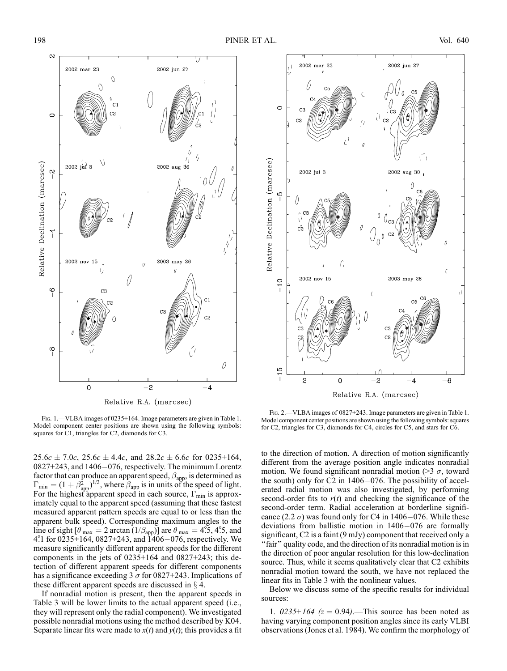

FIG. 1. - VLBA images of 0235+164. Image parameters are given in Table 1. Model component center positions are shown using the following symbols: squares for C1, triangles for C2, diamonds for C3.

 $25.6c \pm 7.0c$ ,  $25.6c \pm 4.4c$ , and  $28.2c \pm 6.6c$  for 0235+164, 0827+243, and 1406-076, respectively. The minimum Lorentz factor that can produce an apparent speed,  $\beta_{app}$ , is determined as  $\Gamma_{\text{min}} = (1 + \beta_{\text{app}}^2)^{1/2}$ , where  $\beta_{\text{app}}$  is in units of the speed of light. For the highest apparent speed in each source,  $\Gamma_{\text{min}}$  is approximately equal to the apparent speed (assuming that these fastest measured apparent pattern speeds are equal to or less than the apparent bulk speed). Corresponding maximum angles to the line of sight  $\left[\theta_{\text{max}}\right] = 2 \arctan\left(\frac{1}{\beta_{\text{app}}}\right)$  are  $\theta_{\text{max}} = 4.5$ , 4.5, and  $4^{\circ}$ 1 for 0235+164, 0827+243, and 1406-076, respectively. We measure significantly different apparent speeds for the different components in the jets of 0235+164 and 0827+243; this detection of different apparent speeds for different components has a significance exceeding 3  $\sigma$  for 0827+243. Implications of these different apparent speeds are discussed in  $\S$  4.

If nonradial motion is present, then the apparent speeds in Table 3 will be lower limits to the actual apparent speed (i.e., they will represent only the radial component). We investigated possible nonradial motions using the method described by K04. Separate linear fits were made to  $x(t)$  and  $y(t)$ ; this provides a fit



Fig. 2.—VLBA images of 0827+243. Image parameters are given in Table 1. Model component center positions are shown using the following symbols: squares for C2, triangles for C3, diamonds for C4, circles for C5, and stars for C6.

to the direction of motion. A direction of motion significantly different from the average position angle indicates nonradial motion. We found significant nonradial motion ( $>$ 3  $\sigma$ , toward the south) only for C2 in 1406-076. The possibility of accelerated radial motion was also investigated, by performing second-order fits to  $r(t)$  and checking the significance of the second-order term. Radial acceleration at borderline significance (2.2  $\sigma$ ) was found only for C4 in 1406–076. While these deviations from ballistic motion in 1406-076 are formally significant, C2 is a faint (9 mJy) component that received only a "fair" quality code, and the direction of its nonradial motion is in the direction of poor angular resolution for this low-declination source. Thus, while it seems qualitatively clear that C2 exhibits nonradial motion toward the south, we have not replaced the linear fits in Table 3 with the nonlinear values.

Below we discuss some of the specific results for individual sources:

1.  $0.0235 + 164$  ( $z = 0.94$ ).—This source has been noted as having varying component position angles since its early VLBI observations (Jones et al. 1984). We confirm the morphology of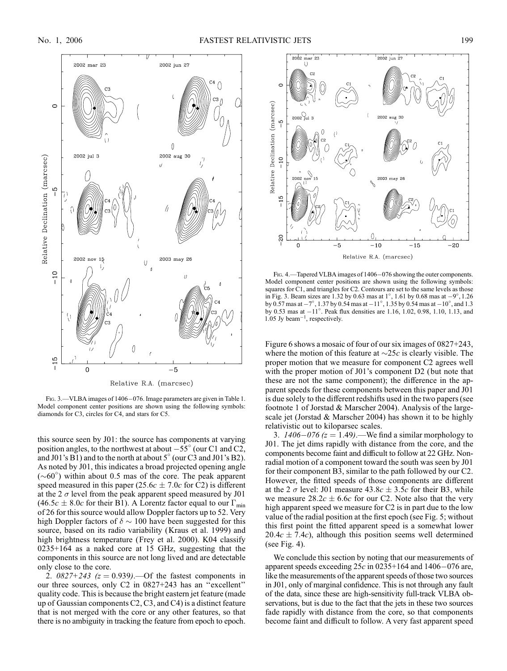

FIG. 3. - VLBA images of 1406-076. Image parameters are given in Table 1. Model component center positions are shown using the following symbols: diamonds for C3, circles for C4, and stars for C5.

this source seen by J01: the source has components at varying position angles, to the northwest at about  $-55^{\circ}$  (our C1 and C2, and  $J01$ 's B1) and to the north at about  $5^{\circ}$  (our C3 and  $J01$ 's B2). As noted by J01, this indicates a broad projected opening angle  $({\sim}60^{\circ})$  within about 0.5 mas of the core. The peak apparent speed measured in this paper (25.6 $c \pm 7.0c$  for C2) is different at the 2  $\sigma$  level from the peak apparent speed measured by J01 (46.5c  $\pm$  8.0c for their B1). A Lorentz factor equal to our  $\Gamma_{\text{min}}$ of 26 for this source would allow Doppler factors up to 52. Very high Doppler factors of  $\delta \sim 100$  have been suggested for this source, based on its radio variability (Kraus et al. 1999) and high brightness temperature (Frey et al. 2000). K04 classify 0235+164 as a naked core at 15 GHz, suggesting that the components in this source are not long lived and are detectable only close to the core.

2.  $0827+243$  ( $z = 0.939$ ).—Of the fastest components in our three sources, only C2 in 0827+243 has an ''excellent'' quality code. This is because the bright eastern jet feature (made up of Gaussian components C2, C3, and C4) is a distinct feature that is not merged with the core or any other features, so that there is no ambiguity in tracking the feature from epoch to epoch.



FIG. 4. Tapered VLBA images of 1406-076 showing the outer components. Model component center positions are shown using the following symbols: squares for C1, and triangles for C2. Contours are set to the same levels as those in Fig. 3. Beam sizes are 1.32 by 0.63 mas at  $1^\circ$ , 1.61 by 0.68 mas at  $-9^\circ$ , 1.26 by 0.57 mas at  $-7^{\circ}$ , 1.37 by 0.54 mas at  $-11^{\circ}$ , 1.35 by 0.54 mas at  $-10^{\circ}$ , and 1.3 by 0.53 mas at  $-11^{\circ}$ . Peak flux densities are 1.16, 1.02, 0.98, 1.10, 1.13, and  $1.05$  Jy beam<sup> $-1$ </sup>, respectively.

Figure 6 shows a mosaic of four of our six images of 0827+243, where the motion of this feature at  $\sim$ 25c is clearly visible. The proper motion that we measure for component C2 agrees well with the proper motion of J01's component D2 (but note that these are not the same component); the difference in the apparent speeds for these components between this paper and J01 is due solely to the different redshifts used in the two papers (see footnote 1 of Jorstad & Marscher 2004). Analysis of the largescale jet (Jorstad & Marscher 2004) has shown it to be highly relativistic out to kiloparsec scales.

3.  $1406 - 076$  ( $z = 1.49$ ).—We find a similar morphology to J01. The jet dims rapidly with distance from the core, and the components become faint and difficult to follow at 22 GHz. Nonradial motion of a component toward the south was seen by J01 for their component B3, similar to the path followed by our C2. However, the fitted speeds of those components are different at the 2  $\sigma$  level: J01 measure 43.8c  $\pm$  3.5c for their B3, while we measure  $28.2c \pm 6.6c$  for our C2. Note also that the very high apparent speed we measure for C2 is in part due to the low value of the radial position at the first epoch (see Fig. 5; without this first point the fitted apparent speed is a somewhat lower  $20.4c \pm 7.4c$ , although this position seems well determined (see Fig. 4).

We conclude this section by noting that our measurements of apparent speeds exceeding  $25c$  in 0235+164 and 1406–076 are, like the measurements of the apparent speeds of those two sources in J01, only of marginal confidence. This is not through any fault of the data, since these are high-sensitivity full-track VLBA observations, but is due to the fact that the jets in these two sources fade rapidly with distance from the core, so that components become faint and difficult to follow. A very fast apparent speed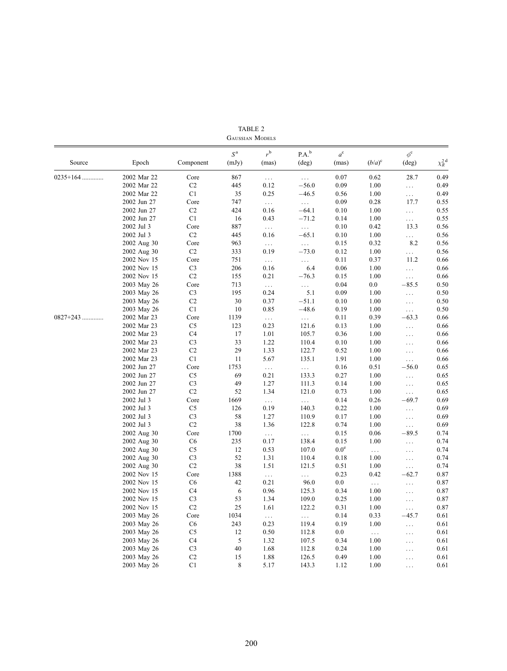|            | GAUSSIAN MODELS |                |                         |                  |                         |                      |           |                                  |                     |
|------------|-----------------|----------------|-------------------------|------------------|-------------------------|----------------------|-----------|----------------------------------|---------------------|
| Source     | Epoch           | Component      | S <sup>a</sup><br>(mJy) | $r^{b}$<br>(mas) | P.A.b<br>$(\text{deg})$ | $a^{\rm c}$<br>(mas) | $(b/a)^c$ | $\phi^{\rm c}$<br>$(\text{deg})$ | $\chi_R^{\rm 2\,d}$ |
| $0235+164$ | 2002 Mar 22     | Core           | 867                     | $\ldots$         | $\ldots$                | 0.07                 | 0.62      | 28.7                             | 0.49                |
|            | 2002 Mar 22     | C <sub>2</sub> | 445                     | 0.12             | $-56.0$                 | 0.09                 | 1.00      | $\ldots$                         | 0.49                |
|            | 2002 Mar 22     | C <sub>1</sub> | 35                      | 0.25             | $-46.5$                 | 0.56                 | 1.00      | $\cdots$                         | 0.49                |
|            | 2002 Jun 27     | Core           | 747                     | $\ldots$         | $\cdots$                | 0.09                 | 0.28      | 17.7                             | 0.55                |
|            | 2002 Jun 27     | C <sub>2</sub> | 424                     | 0.16             | $-64.1$                 | 0.10                 | 1.00      | $\ldots$                         | 0.55                |
|            | 2002 Jun 27     | C1             | 16                      | 0.43             | $-71.2$                 | 0.14                 | 1.00      | $\ldots$                         | 0.55                |
|            | 2002 Jul 3      | Core           | 887                     | $\ldots$         | $\ldots$                | 0.10                 | 0.42      | 13.3                             | 0.56                |
|            | 2002 Jul 3      | C2             | 445                     | 0.16             | $-65.1$                 | 0.10                 | 1.00      | $\ldots$                         | 0.56                |
|            | 2002 Aug 30     | Core           | 963                     | $\ldots$         | $\ldots$                | 0.15                 | 0.32      | 8.2                              | 0.56                |
|            | 2002 Aug 30     | C <sub>2</sub> | 333                     | 0.19             | $-73.0$                 | 0.12                 | 1.00      | $\cdots$                         | 0.56                |
|            | 2002 Nov 15     | Core           | 751                     | $\ldots$         | $\ldots$                | 0.11                 | 0.37      | 11.2                             | 0.66                |
|            | 2002 Nov 15     | C <sub>3</sub> | 206                     | 0.16             | 6.4                     | 0.06                 | 1.00      | $\ldots$                         | 0.66                |
|            | 2002 Nov 15     | C <sub>2</sub> | 155                     | 0.21             | $-76.3$                 | 0.15                 | 1.00      | $\cdots$                         | 0.66                |
|            | 2003 May 26     | Core           | 713                     | $\ldots$         | $\ldots$                | 0.04                 | $0.0\,$   | $-85.5$                          | 0.50                |
|            | 2003 May 26     | C <sub>3</sub> | 195                     | 0.24             | 5.1                     | 0.09                 | 1.00      | $\ldots$                         | 0.50                |
|            | 2003 May 26     | C <sub>2</sub> | 30                      | 0.37             | $-51.1$                 | 0.10                 | 1.00      | $\ldots$                         | 0.50                |
|            | 2003 May 26     | C <sub>1</sub> | 10                      | 0.85             | $-48.6$                 | 0.19                 | 1.00      | $\cdots$                         | 0.50                |
| $0827+243$ | 2002 Mar 23     | Core           | 1139                    | $\ldots$         | $\ldots$                | 0.11                 | 0.39      | $-63.3$                          | 0.66                |
|            | 2002 Mar 23     | C <sub>5</sub> | 123                     | 0.23             | 121.6                   | 0.13                 | 1.00      | $\ldots$                         | 0.66                |
|            | 2002 Mar 23     | C <sub>4</sub> | 17                      | 1.01             | 105.7                   | 0.36                 | 1.00      | $\cdots$                         | 0.66                |
|            | 2002 Mar 23     | C <sub>3</sub> | 33                      | 1.22             | 110.4                   | 0.10                 | 1.00      | $\cdots$                         | 0.66                |
|            | 2002 Mar 23     | C <sub>2</sub> | 29                      | 1.33             | 122.7                   | 0.52                 | 1.00      | $\cdots$                         | 0.66                |
|            | 2002 Mar 23     | C1             | 11                      | 5.67             | 135.1                   | 1.91                 | 1.00      | $\ldots$                         | 0.66                |
|            | 2002 Jun 27     | Core           | 1753                    | $\cdots$         | $\cdots$                | 0.16                 | 0.51      | $-56.0$                          | 0.65                |
|            | 2002 Jun 27     | C <sub>5</sub> | 69                      | 0.21             | 133.3                   | 0.27                 | 1.00      | $\ldots$                         | 0.65                |
|            | 2002 Jun 27     | C <sub>3</sub> | 49                      | 1.27             | 111.3                   | 0.14                 | 1.00      | $\ldots$                         | 0.65                |
|            | 2002 Jun 27     | C <sub>2</sub> | 52                      | 1.34             | 121.0                   | 0.73                 | 1.00      | $\ldots$                         | 0.65                |
|            | 2002 Jul 3      | Core           | 1669                    | $\ldots$         | $\ldots$                | 0.14                 | 0.26      | $-69.7$                          | 0.69                |
|            | 2002 Jul 3      | C <sub>5</sub> | 126                     | 0.19             | 140.3                   | 0.22                 | 1.00      | $\ldots$                         | 0.69                |
|            | 2002 Jul 3      | C <sub>3</sub> | 58                      | 1.27             | 110.9                   | 0.17                 | 1.00      | $\ldots$                         | 0.69                |
|            | 2002 Jul 3      | C <sub>2</sub> | 38                      | 1.36             | 122.8                   | 0.74                 | 1.00      | $\cdots$                         | 0.69                |
|            | 2002 Aug 30     | Core           | 1700                    | $\ldots$         | $\ldots$                | 0.15                 | 0.06      | $-89.5$                          | 0.74                |
|            | 2002 Aug 30     | C <sub>6</sub> | 235                     | 0.17             | 138.4                   | 0.15                 | 1.00      | $\ldots$                         | 0.74                |
|            | 2002 Aug 30     | C <sub>5</sub> | 12                      | 0.53             | 107.0                   | 0.0 <sup>e</sup>     | $\cdots$  | $\ldots$                         | 0.74                |
|            | 2002 Aug 30     | C <sub>3</sub> | 52                      | 1.31             | 110.4                   | 0.18                 | 1.00      | $\ldots$                         | 0.74                |
|            | 2002 Aug 30     | C2             | 38                      | 1.51             | 121.5                   | 0.51                 | 1.00      | $\ldots$                         | 0.74                |
|            | 2002 Nov 15     | Core           | 1388                    | $\ldots$         | $\ldots$                | 0.23                 | 0.42      | $-62.7$                          | 0.87                |
|            | 2002 Nov 15     | C <sub>6</sub> | 42                      | 0.21             | 96.0                    | $0.0\,$              | $\cdots$  | $\cdots$                         | 0.87                |
|            | 2002 Nov 15     | C <sub>4</sub> | 6                       | 0.96             | 125.3                   | 0.34                 | 1.00      | $\ldots$                         | 0.87                |
|            | 2002 Nov 15     | C <sub>3</sub> | 53                      | 1.34             | 109.0                   | 0.25                 | 1.00      | $\ldots$                         | 0.87                |
|            | 2002 Nov 15     | C <sub>2</sub> | 25                      | 1.61             | 122.2                   | 0.31                 | 1.00      | $\cdots$                         | 0.87                |
|            | 2003 May 26     | Core           | 1034                    | $\ddotsc$        | $\ldots$                | 0.14                 | 0.33      | $-45.7$                          | 0.61                |
|            | 2003 May 26     | C <sub>6</sub> | 243                     | 0.23             | 119.4                   | 0.19                 | 1.00      | $\ldots$                         | 0.61                |
|            | 2003 May 26     | C <sub>5</sub> | 12                      | 0.50             | 112.8                   | $0.0\,$              | $\ldots$  | $\ldots$                         | 0.61                |
|            | 2003 May 26     | C <sub>4</sub> | 5                       | 1.32             | 107.5                   | 0.34                 | 1.00      | $\ldots$                         | 0.61                |
|            | 2003 May 26     | C <sub>3</sub> | 40                      | 1.68             | 112.8                   | 0.24                 | 1.00      | $\cdots$                         | 0.61                |
|            | 2003 May 26     | C <sub>2</sub> | 15                      | 1.88             | 126.5                   | 0.49                 | 1.00      | $\cdots$                         | 0.61                |
|            | 2003 May 26     | C <sub>1</sub> | 8                       | 5.17             | 143.3                   | 1.12                 | 1.00      | $\cdots$                         | 0.61                |
|            |                 |                |                         |                  |                         |                      |           |                                  |                     |

TABLE 2 Gaussian Models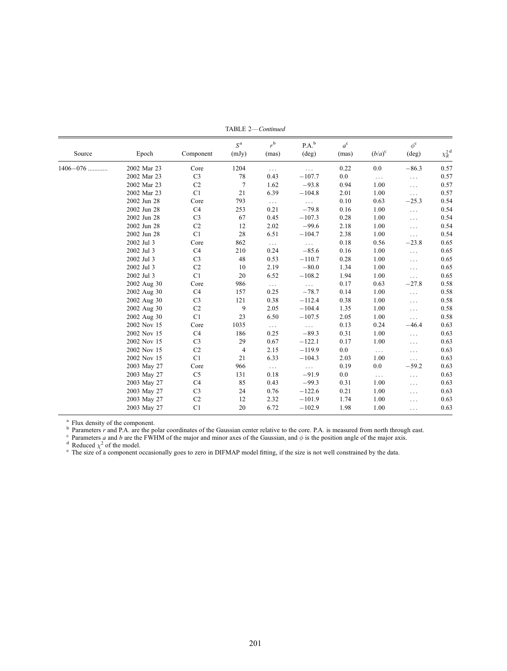| Source       | Epoch       | Component      | S <sup>a</sup><br>(mJy) | $r^{b}$<br>(mas) | $P.A.^b$<br>(deg) | $a^{\rm c}$<br>(mas) | $(b/a)^c$ | $\phi^{\rm c}$<br>(deg) | $\chi_R^{\text{2d}}$ |
|--------------|-------------|----------------|-------------------------|------------------|-------------------|----------------------|-----------|-------------------------|----------------------|
| $1406 - 076$ | 2002 Mar 23 | Core           | 1204                    | $\cdots$         | $\cdots$          | 0.22                 | 0.0       | $-86.3$                 | 0.57                 |
|              | 2002 Mar 23 | C <sub>3</sub> | 78                      | 0.43             | $-107.7$          | 0.0                  | $\ldots$  | $\ldots$                | 0.57                 |
|              | 2002 Mar 23 | C <sub>2</sub> | $7\phantom{.0}$         | 1.62             | $-93.8$           | 0.94                 | 1.00      | $\cdots$                | 0.57                 |
|              | 2002 Mar 23 | C1             | 21                      | 6.39             | $-104.8$          | 2.01                 | 1.00      | $\cdots$                | 0.57                 |
|              | 2002 Jun 28 | Core           | 793                     | $\cdots$         | $\ldots$          | 0.10                 | 0.63      | $-25.3$                 | 0.54                 |
|              | 2002 Jun 28 | C4             | 253                     | 0.21             | $-79.8$           | 0.16                 | 1.00      | .                       | 0.54                 |
|              | 2002 Jun 28 | C <sub>3</sub> | 67                      | 0.45             | $-107.3$          | 0.28                 | 1.00      | .                       | 0.54                 |
|              | 2002 Jun 28 | C <sub>2</sub> | 12                      | 2.02             | $-99.6$           | 2.18                 | 1.00      | .                       | 0.54                 |
|              | 2002 Jun 28 | C1             | 28                      | 6.51             | $-104.7$          | 2.38                 | 1.00      | $\cdots$                | 0.54                 |
|              | 2002 Jul 3  | Core           | 862                     | $\ldots$         | $\cdots$          | 0.18                 | 0.56      | $-23.8$                 | 0.65                 |
|              | 2002 Jul 3  | C4             | 210                     | 0.24             | $-85.6$           | 0.16                 | 1.00      | $\ldots$                | 0.65                 |
|              | 2002 Jul 3  | C <sub>3</sub> | 48                      | 0.53             | $-110.7$          | 0.28                 | 1.00      | .                       | 0.65                 |
|              | 2002 Jul 3  | C <sub>2</sub> | 10                      | 2.19             | $-80.0$           | 1.34                 | 1.00      | .                       | 0.65                 |
|              | 2002 Jul 3  | C1             | 20                      | 6.52             | $-108.2$          | 1.94                 | 1.00      | $\cdots$                | 0.65                 |
|              | 2002 Aug 30 | Core           | 986                     | $\cdots$         | $\ldots$          | 0.17                 | 0.63      | $-27.8$                 | 0.58                 |
|              | 2002 Aug 30 | C <sub>4</sub> | 157                     | 0.25             | $-78.7$           | 0.14                 | 1.00      | .                       | 0.58                 |
|              | 2002 Aug 30 | C <sub>3</sub> | 121                     | 0.38             | $-112.4$          | 0.38                 | 1.00      | .                       | 0.58                 |
|              | 2002 Aug 30 | C <sub>2</sub> | 9                       | 2.05             | $-104.4$          | 1.35                 | 1.00      | .                       | 0.58                 |
|              | 2002 Aug 30 | C1             | 23                      | 6.50             | $-107.5$          | 2.05                 | 1.00      | .                       | 0.58                 |
|              | 2002 Nov 15 | Core           | 1035                    | $\ldots$         | $\ldots$          | 0.13                 | 0.24      | $-46.4$                 | 0.63                 |
|              | 2002 Nov 15 | C4             | 186                     | 0.25             | $-89.3$           | 0.31                 | 1.00      | $\cdots$                | 0.63                 |
|              | 2002 Nov 15 | C <sub>3</sub> | 29                      | 0.67             | $-122.1$          | 0.17                 | 1.00      | .                       | 0.63                 |
|              | 2002 Nov 15 | C <sub>2</sub> | $\overline{4}$          | 2.15             | $-119.9$          | 0.0                  | $\ldots$  | $\cdots$                | 0.63                 |
|              | 2002 Nov 15 | C1             | 21                      | 6.33             | $-104.3$          | 2.03                 | 1.00      | $\ldots$                | 0.63                 |
|              | 2003 May 27 | Core           | 966                     | $\ldots$         | $\ddotsc$         | 0.19                 | 0.0       | $-59.2$                 | 0.63                 |
|              | 2003 May 27 | C <sub>5</sub> | 131                     | 0.18             | $-91.9$           | 0.0                  | $\cdots$  | .                       | 0.63                 |
|              | 2003 May 27 | C4             | 85                      | 0.43             | $-99.3$           | 0.31                 | 1.00      | .                       | 0.63                 |
|              | 2003 May 27 | C <sub>3</sub> | 24                      | 0.76             | $-122.6$          | 0.21                 | 1.00      | .                       | 0.63                 |
|              | 2003 May 27 | C <sub>2</sub> | 12                      | 2.32             | $-101.9$          | 1.74                 | 1.00      | .                       | 0.63                 |
|              | 2003 May 27 | C1             | 20                      | 6.72             | $-102.9$          | 1.98                 | 1.00      | .                       | 0.63                 |

TABLE 2—Continued

<sup>a</sup> Flux density of the component.<br>
<sup>b</sup> Parameters *r* and P.A. are the polar coordinates of the Gaussian center relative to the core. P.A. is measured from north through east.<br>
<sup>c</sup> Parameters *a* and *b* are the FWHM of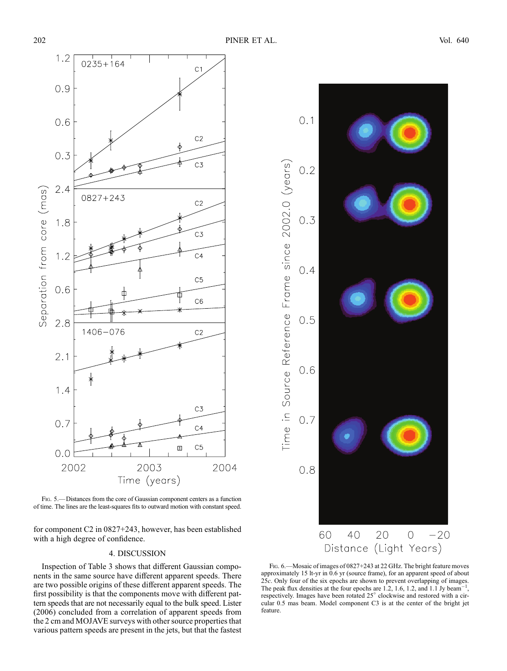

Fig. 5.—Distances from the core of Gaussian component centers as a function of time. The lines are the least-squares fits to outward motion with constant speed.

for component C2 in 0827+243, however, has been established with a high degree of confidence.

#### 4. DISCUSSION

Inspection of Table 3 shows that different Gaussian components in the same source have different apparent speeds. There are two possible origins of these different apparent speeds. The first possibility is that the components move with different pattern speeds that are not necessarily equal to the bulk speed. Lister (2006) concluded from a correlation of apparent speeds from the 2 cm and MOJAVE surveys with other source properties that various pattern speeds are present in the jets, but that the fastest



Fig. 6.—Mosaic of images of 0827+243 at 22 GHz. The bright feature moves approximately 15 lt-yr in 0.6 yr (source frame), for an apparent speed of about 25c. Only four of the six epochs are shown to prevent overlapping of images. The peak flux densities at the four epochs are  $1.2$ , 1.6, 1.2, and 1.1 Jy beam<sup>-1</sup>, respectively. Images have been rotated 25° clockwise and restored with a circular 0.5 mas beam. Model component C3 is at the center of the bright jet feature.